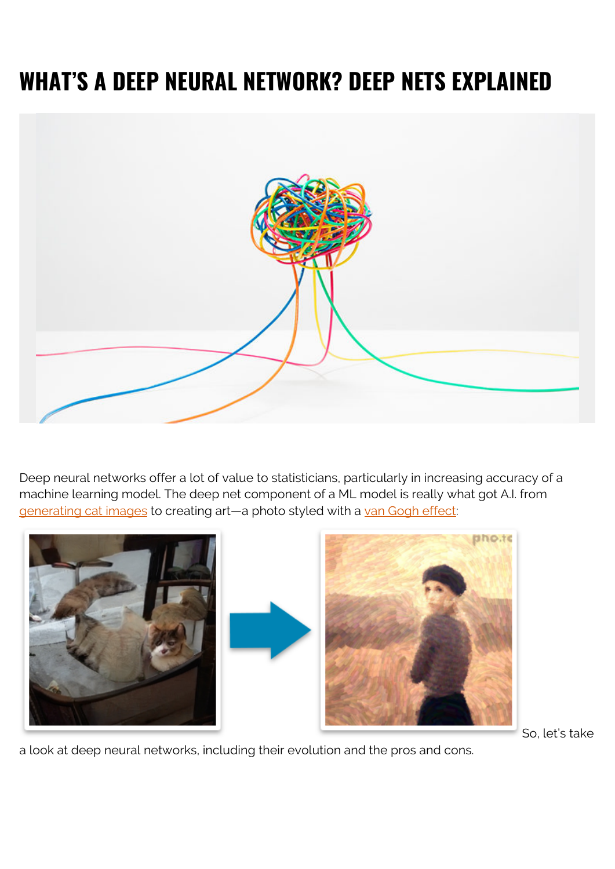# **WHAT'S A DEEP NEURAL NETWORK? DEEP NETS EXPLAINED**



Deep neural networks offer a lot of value to statisticians, particularly in increasing accuracy of a machine learning model. The deep net component of a ML model is really what got A.I. from [generating cat images](https://thiscatdoesnotexist.com/) to creating art-a photo styled with a [van Gogh effect:](https://funny.pho.to/van-gogh-style/)



So, let's take

a look at deep neural networks, including their evolution and the pros and cons.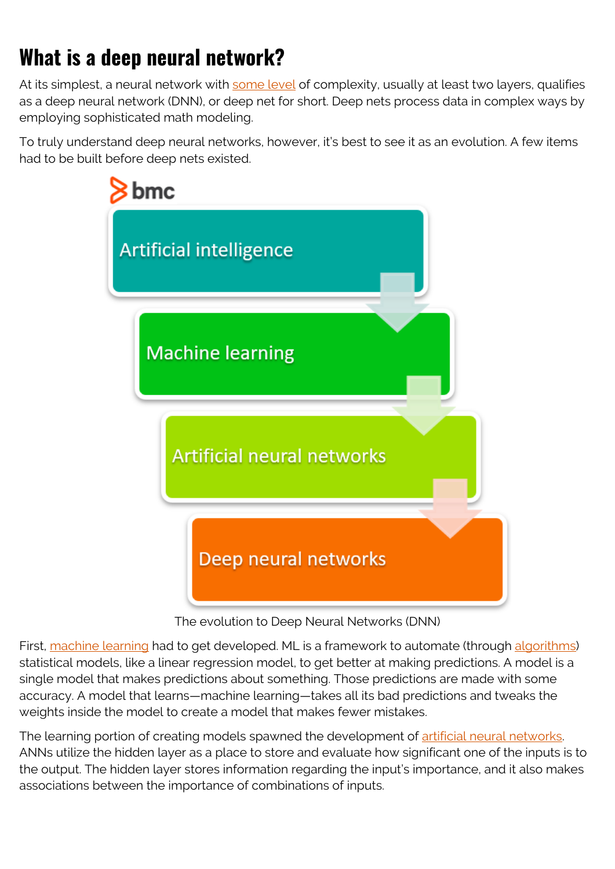## **What is a deep neural network?**

At its simplest, a neural network with [some level](https://www.techopedia.com/definition/32902/deep-neural-network) of complexity, usually at least two layers, qualifies as a deep neural network (DNN), or deep net for short. Deep nets process data in complex ways by employing sophisticated math modeling.

To truly understand deep neural networks, however, it's best to see it as an evolution. A few items had to be built before deep nets existed.



The evolution to Deep Neural Networks (DNN)

First, [machine learning](https://blogs.bmc.com/blogs/deep-learning-vs-machine-learning/) had to get developed. ML is a framework to automate (through [algorithms\)](https://blogs.bmc.com/blogs/machine-learning-algorithms/) statistical models, like a linear regression model, to get better at making predictions. A model is a single model that makes predictions about something. Those predictions are made with some accuracy. A model that learns—machine learning—takes all its bad predictions and tweaks the weights inside the model to create a model that makes fewer mistakes.

The learning portion of creating models spawned the development of [artificial neural networks](https://blogs.bmc.com/blogs/neural-network-introduction/). ANNs utilize the hidden layer as a place to store and evaluate how significant one of the inputs is to the output. The hidden layer stores information regarding the input's importance, and it also makes associations between the importance of combinations of inputs.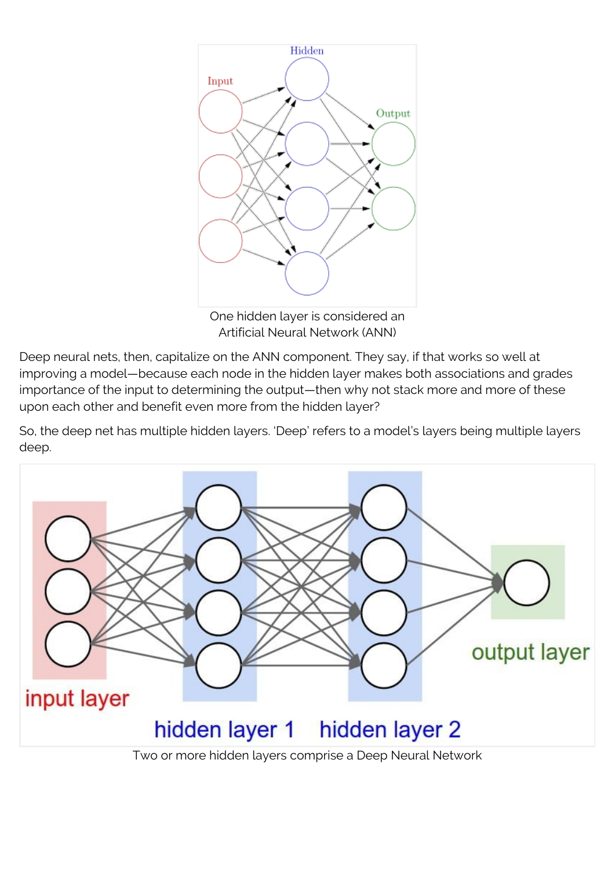

One hidden layer is considered an Artificial Neural Network (ANN)

Deep neural nets, then, capitalize on the ANN component. They say, if that works so well at improving a model—because each node in the hidden layer makes both associations and grades importance of the input to determining the output—then why not stack more and more of these upon each other and benefit even more from the hidden layer?

So, the deep net has multiple hidden layers. 'Deep' refers to a model's layers being multiple layers deep.

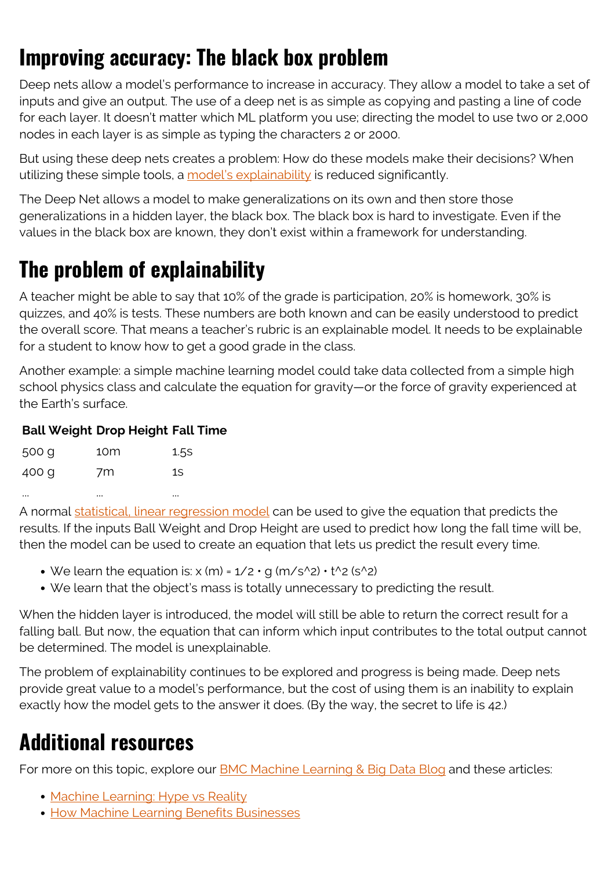## **Improving accuracy: The black box problem**

Deep nets allow a model's performance to increase in accuracy. They allow a model to take a set of inputs and give an output. The use of a deep net is as simple as copying and pasting a line of code for each layer. It doesn't matter which ML platform you use; directing the model to use two or 2,000 nodes in each layer is as simple as typing the characters 2 or 2000.

But using these deep nets creates a problem: How do these models make their decisions? When utilizing these simple tools, a [model's explainability](https://blogs.bmc.com/blogs/machine-learning-interpretability-vs-explainability/) is reduced significantly.

The Deep Net allows a model to make generalizations on its own and then store those generalizations in a hidden layer, the black box. The black box is hard to investigate. Even if the values in the black box are known, they don't exist within a framework for understanding.

### **The problem of explainability**

A teacher might be able to say that 10% of the grade is participation, 20% is homework, 30% is quizzes, and 40% is tests. These numbers are both known and can be easily understood to predict the overall score. That means a teacher's rubric is an explainable model. It needs to be explainable for a student to know how to get a good grade in the class.

Another example: a simple machine learning model could take data collected from a simple high school physics class and calculate the equation for gravity—or the force of gravity experienced at the Earth's surface.

#### **Ball Weight Drop Height Fall Time**

| 500 g | 10m | 1.5S |
|-------|-----|------|
| 400 g | 7m  | 1S   |
|       |     | 111  |

A normal [statistical, linear regression model](https://blogs.bmc.com/blogs/linear-regression-with-amazon-aws-machine-learning/) can be used to give the equation that predicts the results. If the inputs Ball Weight and Drop Height are used to predict how long the fall time will be, then the model can be used to create an equation that lets us predict the result every time.

- We learn the equation is:  $x$  (m) =  $1/2 \cdot q$  (m/s<sup>1</sup>2)  $\cdot t$ <sup>1</sup>  $2$  (s<sup>1</sup>2)
- We learn that the object's mass is totally unnecessary to predicting the result.

When the hidden layer is introduced, the model will still be able to return the correct result for a falling ball. But now, the equation that can inform which input contributes to the total output cannot be determined. The model is unexplainable.

The problem of explainability continues to be explored and progress is being made. Deep nets provide great value to a model's performance, but the cost of using them is an inability to explain exactly how the model gets to the answer it does. (By the way, the secret to life is 42.)

#### **Additional resources**

For more on this topic, explore our **[BMC Machine Learning & Big Data Blog](https://blogs.bmc.com/blogs/categories/machine-learning-big-data/) and these articles:** 

- [Machine Learning: Hype vs Reality](https://blogs.bmc.com/blogs/machine-learning-hype-vs-reality/)
- **[How Machine Learning Benefits Businesses](https://blogs.bmc.com/blogs/machine-learning-can-benefit-business/)**